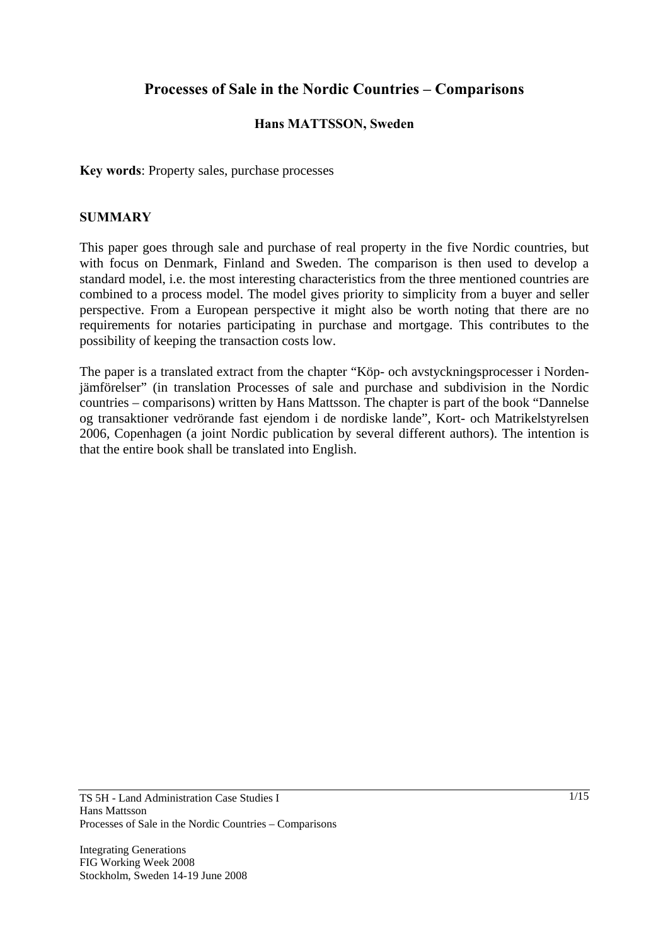# **Processes of Sale in the Nordic Countries – Comparisons**

### **Hans MATTSSON, Sweden**

**Key words**: Property sales, purchase processes

### **SUMMARY**

This paper goes through sale and purchase of real property in the five Nordic countries, but with focus on Denmark, Finland and Sweden. The comparison is then used to develop a standard model, i.e. the most interesting characteristics from the three mentioned countries are combined to a process model. The model gives priority to simplicity from a buyer and seller perspective. From a European perspective it might also be worth noting that there are no requirements for notaries participating in purchase and mortgage. This contributes to the possibility of keeping the transaction costs low.

The paper is a translated extract from the chapter "Köp- och avstyckningsprocesser i Nordenjämförelser" (in translation Processes of sale and purchase and subdivision in the Nordic countries – comparisons) written by Hans Mattsson. The chapter is part of the book "Dannelse og transaktioner vedrörande fast ejendom i de nordiske lande", Kort- och Matrikelstyrelsen 2006, Copenhagen (a joint Nordic publication by several different authors). The intention is that the entire book shall be translated into English.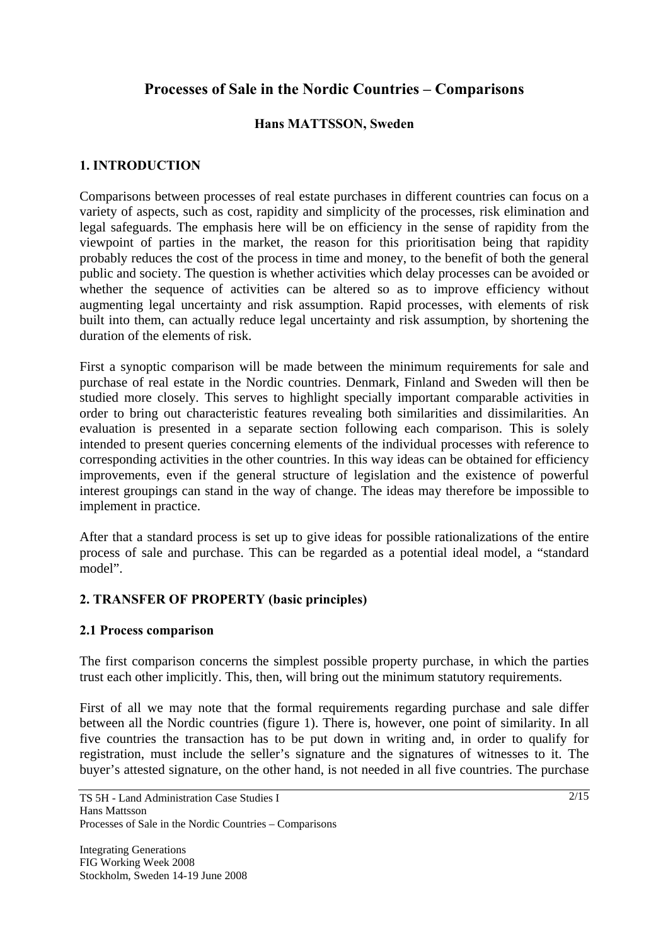# **Processes of Sale in the Nordic Countries – Comparisons**

### **Hans MATTSSON, Sweden**

### **1. INTRODUCTION**

Comparisons between processes of real estate purchases in different countries can focus on a variety of aspects, such as cost, rapidity and simplicity of the processes, risk elimination and legal safeguards. The emphasis here will be on efficiency in the sense of rapidity from the viewpoint of parties in the market, the reason for this prioritisation being that rapidity probably reduces the cost of the process in time and money, to the benefit of both the general public and society. The question is whether activities which delay processes can be avoided or whether the sequence of activities can be altered so as to improve efficiency without augmenting legal uncertainty and risk assumption. Rapid processes, with elements of risk built into them, can actually reduce legal uncertainty and risk assumption, by shortening the duration of the elements of risk.

First a synoptic comparison will be made between the minimum requirements for sale and purchase of real estate in the Nordic countries. Denmark, Finland and Sweden will then be studied more closely. This serves to highlight specially important comparable activities in order to bring out characteristic features revealing both similarities and dissimilarities. An evaluation is presented in a separate section following each comparison. This is solely intended to present queries concerning elements of the individual processes with reference to corresponding activities in the other countries. In this way ideas can be obtained for efficiency improvements, even if the general structure of legislation and the existence of powerful interest groupings can stand in the way of change. The ideas may therefore be impossible to implement in practice.

After that a standard process is set up to give ideas for possible rationalizations of the entire process of sale and purchase. This can be regarded as a potential ideal model, a "standard model".

### **2. TRANSFER OF PROPERTY (basic principles)**

#### **2.1 Process comparison**

The first comparison concerns the simplest possible property purchase, in which the parties trust each other implicitly. This, then, will bring out the minimum statutory requirements.

First of all we may note that the formal requirements regarding purchase and sale differ between all the Nordic countries (figure 1). There is, however, one point of similarity. In all five countries the transaction has to be put down in writing and, in order to qualify for registration, must include the seller's signature and the signatures of witnesses to it. The buyer's attested signature, on the other hand, is not needed in all five countries. The purchase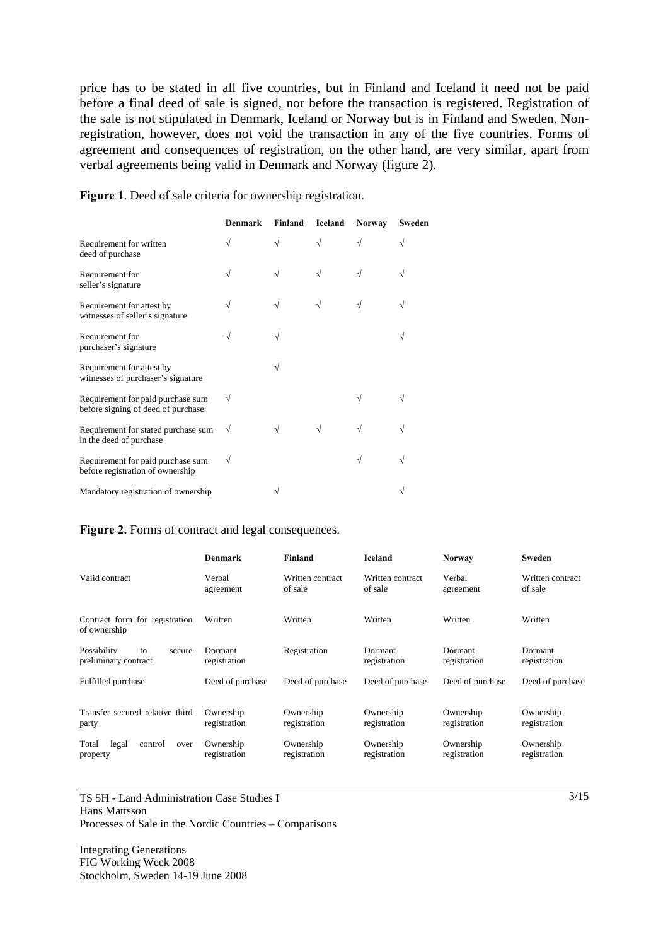price has to be stated in all five countries, but in Finland and Iceland it need not be paid before a final deed of sale is signed, nor before the transaction is registered. Registration of the sale is not stipulated in Denmark, Iceland or Norway but is in Finland and Sweden. Nonregistration, however, does not void the transaction in any of the five countries. Forms of agreement and consequences of registration, on the other hand, are very similar, apart from verbal agreements being valid in Denmark and Norway (figure 2).

**Figure 1**. Deed of sale criteria for ownership registration.

|                                                                         | Denmark | Finland | Iceland | <b>Norway</b> | Sweden |
|-------------------------------------------------------------------------|---------|---------|---------|---------------|--------|
| Requirement for written<br>deed of purchase                             |         | V       |         |               |        |
| Requirement for<br>seller's signature                                   |         |         | V       |               |        |
| Requirement for attest by<br>witnesses of seller's signature            |         | N       |         |               |        |
| Requirement for<br>purchaser's signature                                |         |         |         |               |        |
| Requirement for attest by<br>witnesses of purchaser's signature         |         |         |         |               |        |
| Requirement for paid purchase sum<br>before signing of deed of purchase |         |         |         |               |        |
| Requirement for stated purchase sum<br>in the deed of purchase          | V       |         |         |               |        |
| Requirement for paid purchase sum<br>before registration of ownership   | V       |         |         |               |        |
| Mandatory registration of ownership                                     |         |         |         |               |        |

#### **Figure 2.** Forms of contract and legal consequences.

|                                                     | <b>Denmark</b>            | <b>Finland</b>              | <b>Iceland</b>              | <b>Norway</b>             | Sweden                      |
|-----------------------------------------------------|---------------------------|-----------------------------|-----------------------------|---------------------------|-----------------------------|
| Valid contract                                      | Verbal<br>agreement       | Written contract<br>of sale | Written contract<br>of sale | Verbal<br>agreement       | Written contract<br>of sale |
| Contract form for registration<br>of ownership      | Written                   | Written                     | Written                     | Written                   | Written                     |
| Possibility<br>to<br>secure<br>preliminary contract | Dormant<br>registration   | Registration                | Dormant<br>registration     | Dormant<br>registration   | Dormant<br>registration     |
| Fulfilled purchase                                  | Deed of purchase          | Deed of purchase            | Deed of purchase            | Deed of purchase          | Deed of purchase            |
| Transfer secured relative third<br>party            | Ownership<br>registration | Ownership<br>registration   | Ownership<br>registration   | Ownership<br>registration | Ownership<br>registration   |
| Total<br>legal<br>control<br>over<br>property       | Ownership<br>registration | Ownership<br>registration   | Ownership<br>registration   | Ownership<br>registration | Ownership<br>registration   |

TS 5H - Land Administration Case Studies I Hans Mattsson Processes of Sale in the Nordic Countries – Comparisons

Integrating Generations FIG Working Week 2008 Stockholm, Sweden 14-19 June 2008  $\frac{3}{15}$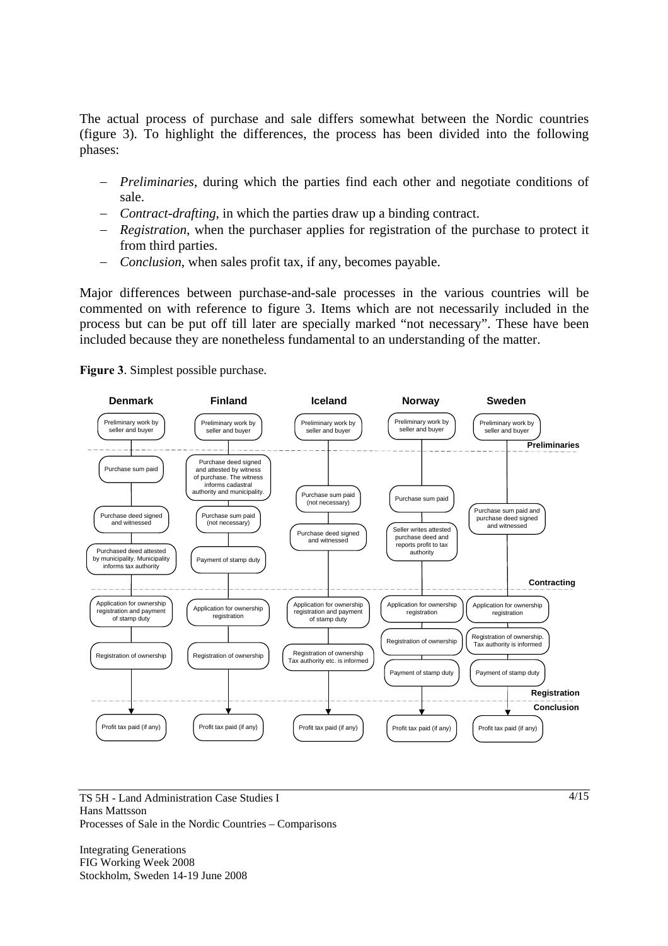The actual process of purchase and sale differs somewhat between the Nordic countries (figure 3). To highlight the differences, the process has been divided into the following phases:

- − *Preliminaries*, during which the parties find each other and negotiate conditions of sale.
- − *Contract-drafting*, in which the parties draw up a binding contract.
- − *Registration*, when the purchaser applies for registration of the purchase to protect it from third parties.
- − *Conclusion*, when sales profit tax, if any, becomes payable.

Major differences between purchase-and-sale processes in the various countries will be commented on with reference to figure 3. Items which are not necessarily included in the process but can be put off till later are specially marked "not necessary". These have been included because they are nonetheless fundamental to an understanding of the matter.





TS 5H - Land Administration Case Studies I Hans Mattsson Processes of Sale in the Nordic Countries – Comparisons

Integrating Generations FIG Working Week 2008 Stockholm, Sweden 14-19 June 2008  $4/15$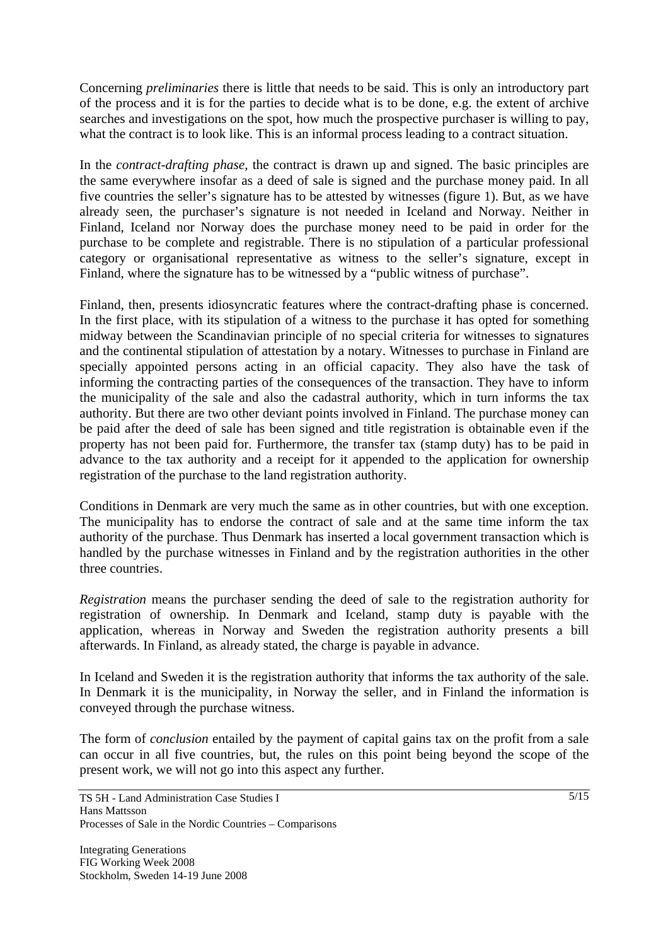Concerning *preliminaries* there is little that needs to be said. This is only an introductory part of the process and it is for the parties to decide what is to be done, e.g. the extent of archive searches and investigations on the spot, how much the prospective purchaser is willing to pay, what the contract is to look like. This is an informal process leading to a contract situation.

In the *contract-drafting phase*, the contract is drawn up and signed. The basic principles are the same everywhere insofar as a deed of sale is signed and the purchase money paid. In all five countries the seller's signature has to be attested by witnesses (figure 1). But, as we have already seen, the purchaser's signature is not needed in Iceland and Norway. Neither in Finland, Iceland nor Norway does the purchase money need to be paid in order for the purchase to be complete and registrable. There is no stipulation of a particular professional category or organisational representative as witness to the seller's signature, except in Finland, where the signature has to be witnessed by a "public witness of purchase".

Finland, then, presents idiosyncratic features where the contract-drafting phase is concerned. In the first place, with its stipulation of a witness to the purchase it has opted for something midway between the Scandinavian principle of no special criteria for witnesses to signatures and the continental stipulation of attestation by a notary. Witnesses to purchase in Finland are specially appointed persons acting in an official capacity. They also have the task of informing the contracting parties of the consequences of the transaction. They have to inform the municipality of the sale and also the cadastral authority, which in turn informs the tax authority. But there are two other deviant points involved in Finland. The purchase money can be paid after the deed of sale has been signed and title registration is obtainable even if the property has not been paid for. Furthermore, the transfer tax (stamp duty) has to be paid in advance to the tax authority and a receipt for it appended to the application for ownership registration of the purchase to the land registration authority.

Conditions in Denmark are very much the same as in other countries, but with one exception. The municipality has to endorse the contract of sale and at the same time inform the tax authority of the purchase. Thus Denmark has inserted a local government transaction which is handled by the purchase witnesses in Finland and by the registration authorities in the other three countries.

*Registration* means the purchaser sending the deed of sale to the registration authority for registration of ownership. In Denmark and Iceland, stamp duty is payable with the application, whereas in Norway and Sweden the registration authority presents a bill afterwards. In Finland, as already stated, the charge is payable in advance.

In Iceland and Sweden it is the registration authority that informs the tax authority of the sale. In Denmark it is the municipality, in Norway the seller, and in Finland the information is conveyed through the purchase witness.

The form of *conclusion* entailed by the payment of capital gains tax on the profit from a sale can occur in all five countries, but, the rules on this point being beyond the scope of the present work, we will not go into this aspect any further.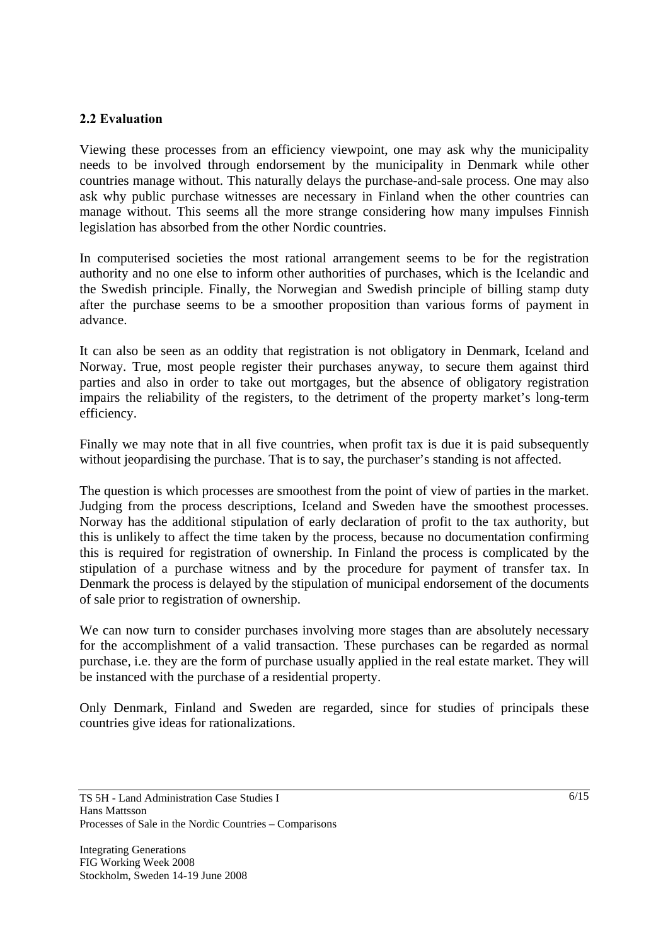### **2.2 Evaluation**

Viewing these processes from an efficiency viewpoint, one may ask why the municipality needs to be involved through endorsement by the municipality in Denmark while other countries manage without. This naturally delays the purchase-and-sale process. One may also ask why public purchase witnesses are necessary in Finland when the other countries can manage without. This seems all the more strange considering how many impulses Finnish legislation has absorbed from the other Nordic countries.

In computerised societies the most rational arrangement seems to be for the registration authority and no one else to inform other authorities of purchases, which is the Icelandic and the Swedish principle. Finally, the Norwegian and Swedish principle of billing stamp duty after the purchase seems to be a smoother proposition than various forms of payment in advance.

It can also be seen as an oddity that registration is not obligatory in Denmark, Iceland and Norway. True, most people register their purchases anyway, to secure them against third parties and also in order to take out mortgages, but the absence of obligatory registration impairs the reliability of the registers, to the detriment of the property market's long-term efficiency.

Finally we may note that in all five countries, when profit tax is due it is paid subsequently without jeopardising the purchase. That is to say, the purchaser's standing is not affected.

The question is which processes are smoothest from the point of view of parties in the market. Judging from the process descriptions, Iceland and Sweden have the smoothest processes. Norway has the additional stipulation of early declaration of profit to the tax authority, but this is unlikely to affect the time taken by the process, because no documentation confirming this is required for registration of ownership. In Finland the process is complicated by the stipulation of a purchase witness and by the procedure for payment of transfer tax. In Denmark the process is delayed by the stipulation of municipal endorsement of the documents of sale prior to registration of ownership.

We can now turn to consider purchases involving more stages than are absolutely necessary for the accomplishment of a valid transaction. These purchases can be regarded as normal purchase, i.e. they are the form of purchase usually applied in the real estate market. They will be instanced with the purchase of a residential property.

Only Denmark, Finland and Sweden are regarded, since for studies of principals these countries give ideas for rationalizations.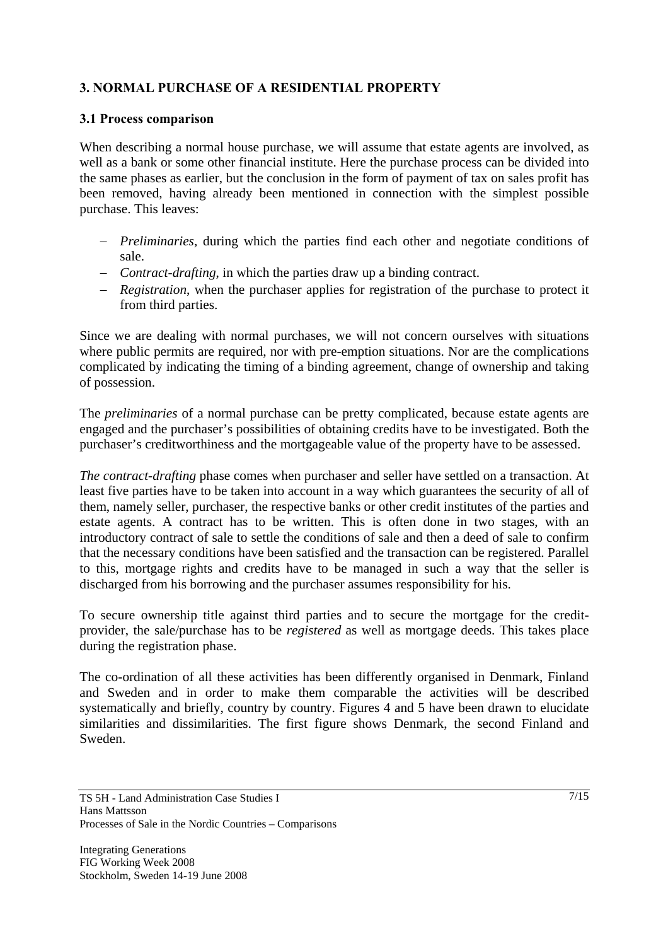## **3. NORMAL PURCHASE OF A RESIDENTIAL PROPERTY**

### **3.1 Process comparison**

When describing a normal house purchase, we will assume that estate agents are involved, as well as a bank or some other financial institute. Here the purchase process can be divided into the same phases as earlier, but the conclusion in the form of payment of tax on sales profit has been removed, having already been mentioned in connection with the simplest possible purchase. This leaves:

- − *Preliminaries*, during which the parties find each other and negotiate conditions of sale.
- − *Contract-drafting*, in which the parties draw up a binding contract.
- − *Registration*, when the purchaser applies for registration of the purchase to protect it from third parties.

Since we are dealing with normal purchases, we will not concern ourselves with situations where public permits are required, nor with pre-emption situations. Nor are the complications complicated by indicating the timing of a binding agreement, change of ownership and taking of possession.

The *preliminaries* of a normal purchase can be pretty complicated, because estate agents are engaged and the purchaser's possibilities of obtaining credits have to be investigated. Both the purchaser's creditworthiness and the mortgageable value of the property have to be assessed.

*The contract-drafting* phase comes when purchaser and seller have settled on a transaction. At least five parties have to be taken into account in a way which guarantees the security of all of them, namely seller, purchaser, the respective banks or other credit institutes of the parties and estate agents. A contract has to be written. This is often done in two stages, with an introductory contract of sale to settle the conditions of sale and then a deed of sale to confirm that the necessary conditions have been satisfied and the transaction can be registered. Parallel to this, mortgage rights and credits have to be managed in such a way that the seller is discharged from his borrowing and the purchaser assumes responsibility for his.

To secure ownership title against third parties and to secure the mortgage for the creditprovider, the sale/purchase has to be *registered* as well as mortgage deeds. This takes place during the registration phase.

The co-ordination of all these activities has been differently organised in Denmark, Finland and Sweden and in order to make them comparable the activities will be described systematically and briefly, country by country. Figures 4 and 5 have been drawn to elucidate similarities and dissimilarities. The first figure shows Denmark, the second Finland and Sweden.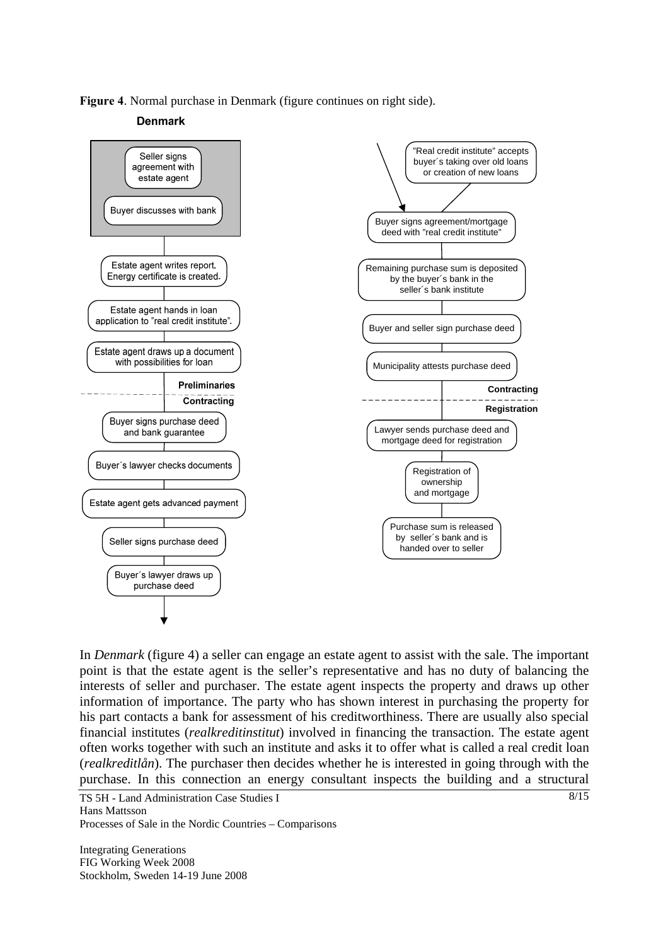**Figure 4**. Normal purchase in Denmark (figure continues on right side).

#### **Denmark**



In *Denmark* (figure 4) a seller can engage an estate agent to assist with the sale. The important point is that the estate agent is the seller's representative and has no duty of balancing the interests of seller and purchaser. The estate agent inspects the property and draws up other information of importance. The party who has shown interest in purchasing the property for his part contacts a bank for assessment of his creditworthiness. There are usually also special financial institutes (*realkreditinstitut*) involved in financing the transaction. The estate agent often works together with such an institute and asks it to offer what is called a real credit loan (*realkreditlån*). The purchaser then decides whether he is interested in going through with the purchase. In this connection an energy consultant inspects the building and a structural

TS 5H - Land Administration Case Studies I Hans Mattsson Processes of Sale in the Nordic Countries – Comparisons

Integrating Generations FIG Working Week 2008 Stockholm, Sweden 14-19 June 2008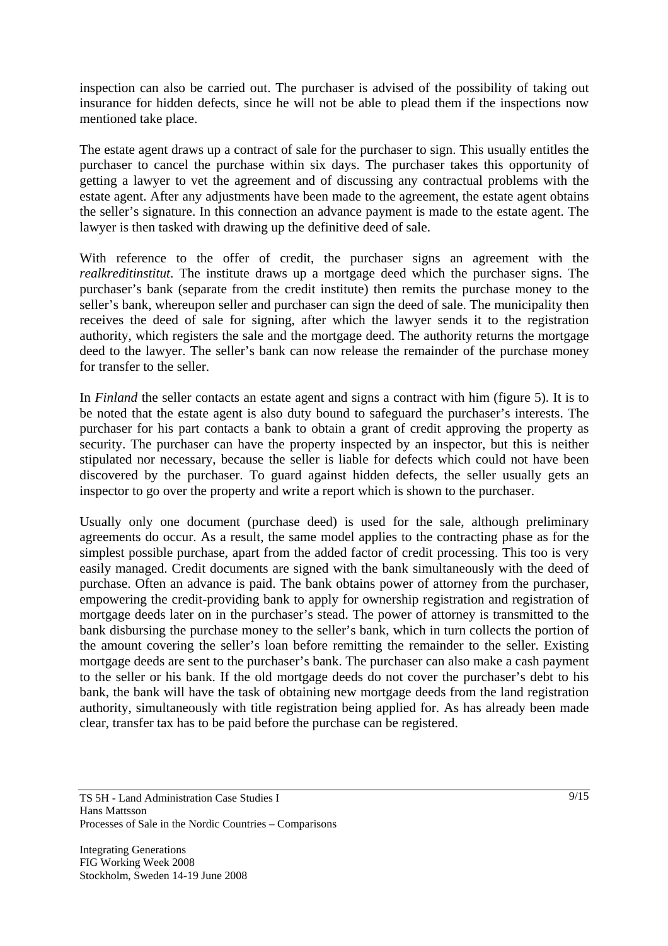inspection can also be carried out. The purchaser is advised of the possibility of taking out insurance for hidden defects, since he will not be able to plead them if the inspections now mentioned take place.

The estate agent draws up a contract of sale for the purchaser to sign. This usually entitles the purchaser to cancel the purchase within six days. The purchaser takes this opportunity of getting a lawyer to vet the agreement and of discussing any contractual problems with the estate agent. After any adjustments have been made to the agreement, the estate agent obtains the seller's signature. In this connection an advance payment is made to the estate agent. The lawyer is then tasked with drawing up the definitive deed of sale.

With reference to the offer of credit, the purchaser signs an agreement with the *realkreditinstitut*. The institute draws up a mortgage deed which the purchaser signs. The purchaser's bank (separate from the credit institute) then remits the purchase money to the seller's bank, whereupon seller and purchaser can sign the deed of sale. The municipality then receives the deed of sale for signing, after which the lawyer sends it to the registration authority, which registers the sale and the mortgage deed. The authority returns the mortgage deed to the lawyer. The seller's bank can now release the remainder of the purchase money for transfer to the seller.

In *Finland* the seller contacts an estate agent and signs a contract with him (figure 5). It is to be noted that the estate agent is also duty bound to safeguard the purchaser's interests. The purchaser for his part contacts a bank to obtain a grant of credit approving the property as security. The purchaser can have the property inspected by an inspector, but this is neither stipulated nor necessary, because the seller is liable for defects which could not have been discovered by the purchaser. To guard against hidden defects, the seller usually gets an inspector to go over the property and write a report which is shown to the purchaser.

Usually only one document (purchase deed) is used for the sale, although preliminary agreements do occur. As a result, the same model applies to the contracting phase as for the simplest possible purchase, apart from the added factor of credit processing. This too is very easily managed. Credit documents are signed with the bank simultaneously with the deed of purchase. Often an advance is paid. The bank obtains power of attorney from the purchaser, empowering the credit-providing bank to apply for ownership registration and registration of mortgage deeds later on in the purchaser's stead. The power of attorney is transmitted to the bank disbursing the purchase money to the seller's bank, which in turn collects the portion of the amount covering the seller's loan before remitting the remainder to the seller. Existing mortgage deeds are sent to the purchaser's bank. The purchaser can also make a cash payment to the seller or his bank. If the old mortgage deeds do not cover the purchaser's debt to his bank, the bank will have the task of obtaining new mortgage deeds from the land registration authority, simultaneously with title registration being applied for. As has already been made clear, transfer tax has to be paid before the purchase can be registered.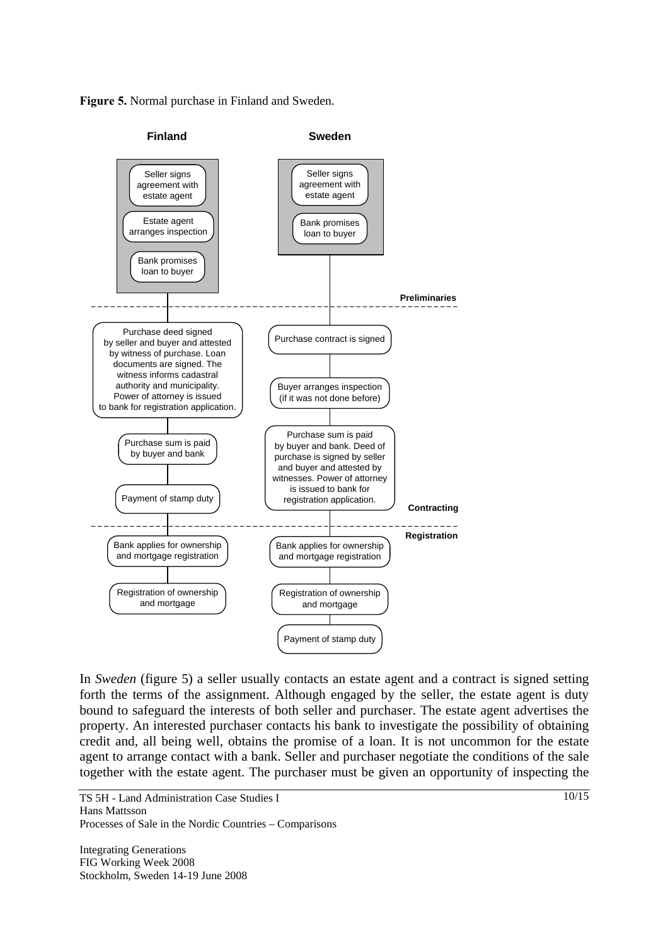**Figure 5.** Normal purchase in Finland and Sweden.



In *Sweden* (figure 5) a seller usually contacts an estate agent and a contract is signed setting forth the terms of the assignment. Although engaged by the seller, the estate agent is duty bound to safeguard the interests of both seller and purchaser. The estate agent advertises the property. An interested purchaser contacts his bank to investigate the possibility of obtaining credit and, all being well, obtains the promise of a loan. It is not uncommon for the estate agent to arrange contact with a bank. Seller and purchaser negotiate the conditions of the sale together with the estate agent. The purchaser must be given an opportunity of inspecting the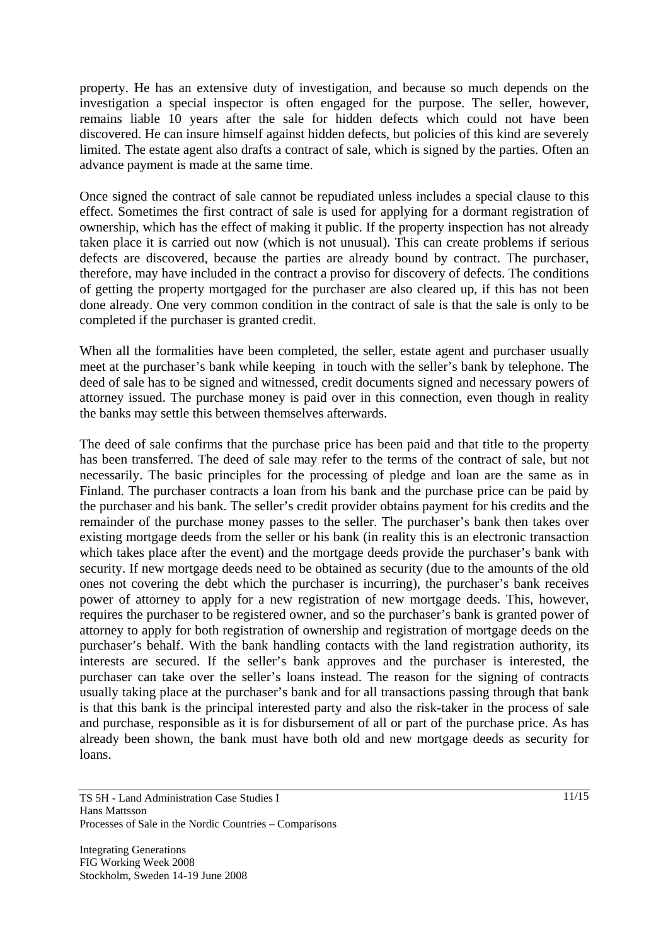property. He has an extensive duty of investigation, and because so much depends on the investigation a special inspector is often engaged for the purpose. The seller, however, remains liable 10 years after the sale for hidden defects which could not have been discovered. He can insure himself against hidden defects, but policies of this kind are severely limited. The estate agent also drafts a contract of sale, which is signed by the parties. Often an advance payment is made at the same time.

Once signed the contract of sale cannot be repudiated unless includes a special clause to this effect. Sometimes the first contract of sale is used for applying for a dormant registration of ownership, which has the effect of making it public. If the property inspection has not already taken place it is carried out now (which is not unusual). This can create problems if serious defects are discovered, because the parties are already bound by contract. The purchaser, therefore, may have included in the contract a proviso for discovery of defects. The conditions of getting the property mortgaged for the purchaser are also cleared up, if this has not been done already. One very common condition in the contract of sale is that the sale is only to be completed if the purchaser is granted credit.

When all the formalities have been completed, the seller, estate agent and purchaser usually meet at the purchaser's bank while keeping in touch with the seller's bank by telephone. The deed of sale has to be signed and witnessed, credit documents signed and necessary powers of attorney issued. The purchase money is paid over in this connection, even though in reality the banks may settle this between themselves afterwards.

The deed of sale confirms that the purchase price has been paid and that title to the property has been transferred. The deed of sale may refer to the terms of the contract of sale, but not necessarily. The basic principles for the processing of pledge and loan are the same as in Finland. The purchaser contracts a loan from his bank and the purchase price can be paid by the purchaser and his bank. The seller's credit provider obtains payment for his credits and the remainder of the purchase money passes to the seller. The purchaser's bank then takes over existing mortgage deeds from the seller or his bank (in reality this is an electronic transaction which takes place after the event) and the mortgage deeds provide the purchaser's bank with security. If new mortgage deeds need to be obtained as security (due to the amounts of the old ones not covering the debt which the purchaser is incurring), the purchaser's bank receives power of attorney to apply for a new registration of new mortgage deeds. This, however, requires the purchaser to be registered owner, and so the purchaser's bank is granted power of attorney to apply for both registration of ownership and registration of mortgage deeds on the purchaser's behalf. With the bank handling contacts with the land registration authority, its interests are secured. If the seller's bank approves and the purchaser is interested, the purchaser can take over the seller's loans instead. The reason for the signing of contracts usually taking place at the purchaser's bank and for all transactions passing through that bank is that this bank is the principal interested party and also the risk-taker in the process of sale and purchase, responsible as it is for disbursement of all or part of the purchase price. As has already been shown, the bank must have both old and new mortgage deeds as security for loans.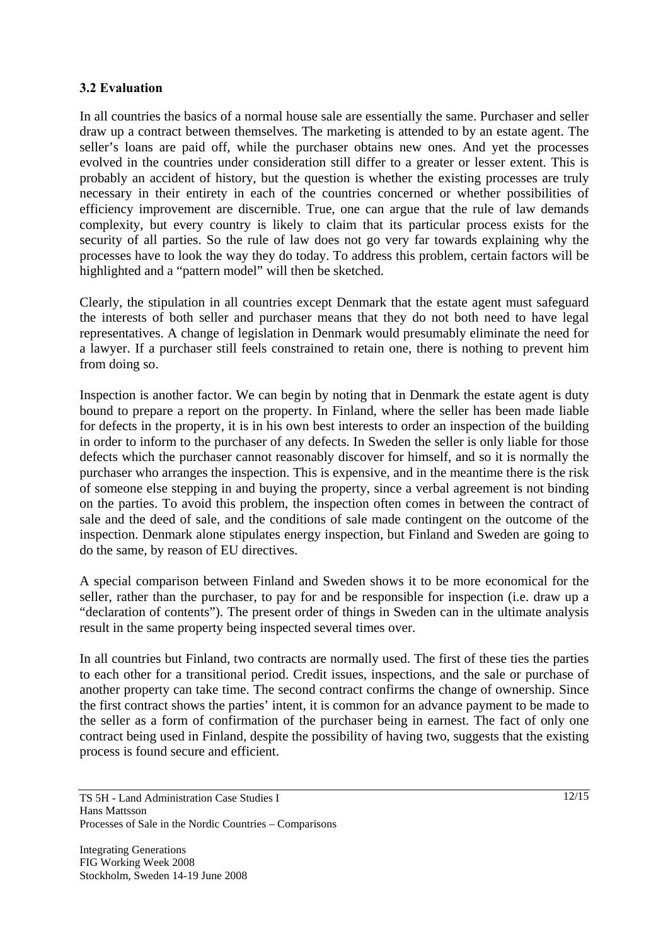### **3.2 Evaluation**

In all countries the basics of a normal house sale are essentially the same. Purchaser and seller draw up a contract between themselves. The marketing is attended to by an estate agent. The seller's loans are paid off, while the purchaser obtains new ones. And yet the processes evolved in the countries under consideration still differ to a greater or lesser extent. This is probably an accident of history, but the question is whether the existing processes are truly necessary in their entirety in each of the countries concerned or whether possibilities of efficiency improvement are discernible. True, one can argue that the rule of law demands complexity, but every country is likely to claim that its particular process exists for the security of all parties. So the rule of law does not go very far towards explaining why the processes have to look the way they do today. To address this problem, certain factors will be highlighted and a "pattern model" will then be sketched.

Clearly, the stipulation in all countries except Denmark that the estate agent must safeguard the interests of both seller and purchaser means that they do not both need to have legal representatives. A change of legislation in Denmark would presumably eliminate the need for a lawyer. If a purchaser still feels constrained to retain one, there is nothing to prevent him from doing so.

Inspection is another factor. We can begin by noting that in Denmark the estate agent is duty bound to prepare a report on the property. In Finland, where the seller has been made liable for defects in the property, it is in his own best interests to order an inspection of the building in order to inform to the purchaser of any defects. In Sweden the seller is only liable for those defects which the purchaser cannot reasonably discover for himself, and so it is normally the purchaser who arranges the inspection. This is expensive, and in the meantime there is the risk of someone else stepping in and buying the property, since a verbal agreement is not binding on the parties. To avoid this problem, the inspection often comes in between the contract of sale and the deed of sale, and the conditions of sale made contingent on the outcome of the inspection. Denmark alone stipulates energy inspection, but Finland and Sweden are going to do the same, by reason of EU directives.

A special comparison between Finland and Sweden shows it to be more economical for the seller, rather than the purchaser, to pay for and be responsible for inspection (i.e. draw up a "declaration of contents"). The present order of things in Sweden can in the ultimate analysis result in the same property being inspected several times over.

In all countries but Finland, two contracts are normally used. The first of these ties the parties to each other for a transitional period. Credit issues, inspections, and the sale or purchase of another property can take time. The second contract confirms the change of ownership. Since the first contract shows the parties' intent, it is common for an advance payment to be made to the seller as a form of confirmation of the purchaser being in earnest. The fact of only one contract being used in Finland, despite the possibility of having two, suggests that the existing process is found secure and efficient.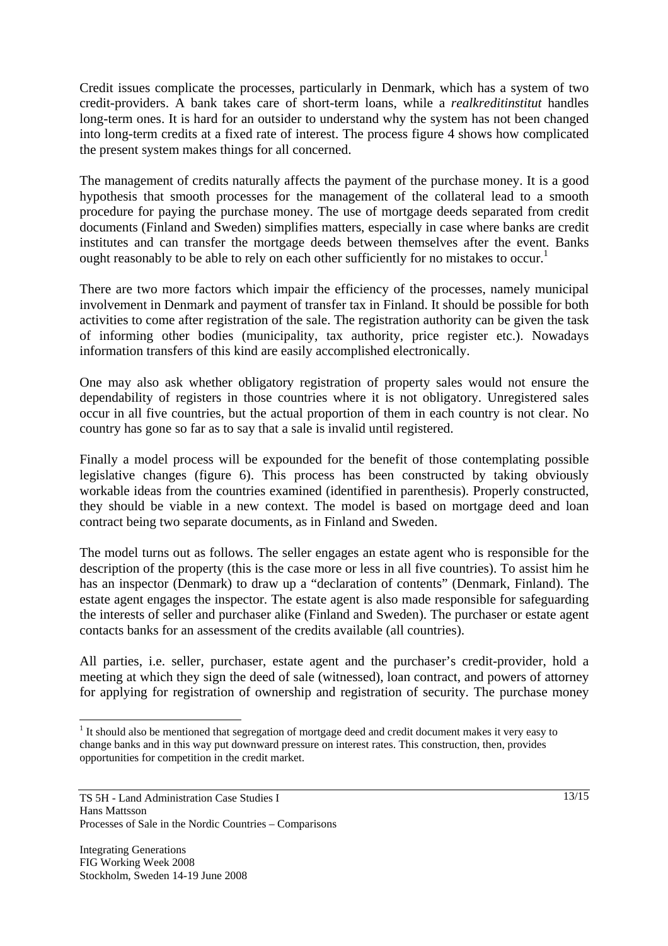Credit issues complicate the processes, particularly in Denmark, which has a system of two credit-providers. A bank takes care of short-term loans, while a *realkreditinstitut* handles long-term ones. It is hard for an outsider to understand why the system has not been changed into long-term credits at a fixed rate of interest. The process figure 4 shows how complicated the present system makes things for all concerned.

The management of credits naturally affects the payment of the purchase money. It is a good hypothesis that smooth processes for the management of the collateral lead to a smooth procedure for paying the purchase money. The use of mortgage deeds separated from credit documents (Finland and Sweden) simplifies matters, especially in case where banks are credit institutes and can transfer the mortgage deeds between themselves after the event. Banks ought reasonably to be able to rely on each other sufficiently for no mistakes to occur.<sup>1</sup>

There are two more factors which impair the efficiency of the processes, namely municipal involvement in Denmark and payment of transfer tax in Finland. It should be possible for both activities to come after registration of the sale. The registration authority can be given the task of informing other bodies (municipality, tax authority, price register etc.). Nowadays information transfers of this kind are easily accomplished electronically.

One may also ask whether obligatory registration of property sales would not ensure the dependability of registers in those countries where it is not obligatory. Unregistered sales occur in all five countries, but the actual proportion of them in each country is not clear. No country has gone so far as to say that a sale is invalid until registered.

Finally a model process will be expounded for the benefit of those contemplating possible legislative changes (figure 6). This process has been constructed by taking obviously workable ideas from the countries examined (identified in parenthesis). Properly constructed, they should be viable in a new context. The model is based on mortgage deed and loan contract being two separate documents, as in Finland and Sweden.

The model turns out as follows. The seller engages an estate agent who is responsible for the description of the property (this is the case more or less in all five countries). To assist him he has an inspector (Denmark) to draw up a "declaration of contents" (Denmark, Finland). The estate agent engages the inspector. The estate agent is also made responsible for safeguarding the interests of seller and purchaser alike (Finland and Sweden). The purchaser or estate agent contacts banks for an assessment of the credits available (all countries).

All parties, i.e. seller, purchaser, estate agent and the purchaser's credit-provider, hold a meeting at which they sign the deed of sale (witnessed), loan contract, and powers of attorney for applying for registration of ownership and registration of security. The purchase money

 $\overline{a}$ 

 $1$  It should also be mentioned that segregation of mortgage deed and credit document makes it very easy to change banks and in this way put downward pressure on interest rates. This construction, then, provides opportunities for competition in the credit market.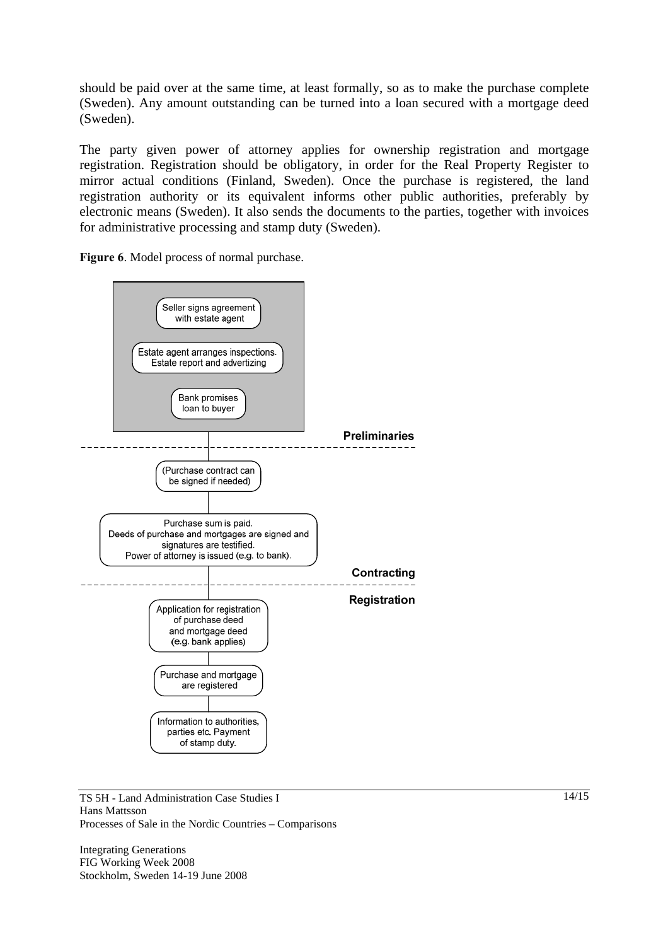should be paid over at the same time, at least formally, so as to make the purchase complete (Sweden). Any amount outstanding can be turned into a loan secured with a mortgage deed (Sweden).

The party given power of attorney applies for ownership registration and mortgage registration. Registration should be obligatory, in order for the Real Property Register to mirror actual conditions (Finland, Sweden). Once the purchase is registered, the land registration authority or its equivalent informs other public authorities, preferably by electronic means (Sweden). It also sends the documents to the parties, together with invoices for administrative processing and stamp duty (Sweden).

**Figure 6**. Model process of normal purchase.



TS 5H - Land Administration Case Studies I Hans Mattsson Processes of Sale in the Nordic Countries – Comparisons

Integrating Generations FIG Working Week 2008 Stockholm, Sweden 14-19 June 2008